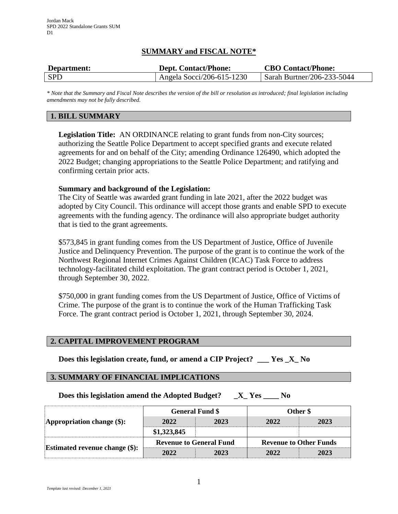# **SUMMARY and FISCAL NOTE\***

| Department: | <b>Dept. Contact/Phone:</b> | <b>CBO Contact/Phone:</b>          |  |
|-------------|-----------------------------|------------------------------------|--|
| <b>SPD</b>  | Angela Socci/206-615-1230   | $\vert$ Sarah Burtner/206-233-5044 |  |

*\* Note that the Summary and Fiscal Note describes the version of the bill or resolution as introduced; final legislation including amendments may not be fully described.*

# **1. BILL SUMMARY**

**Legislation Title:** AN ORDINANCE relating to grant funds from non-City sources; authorizing the Seattle Police Department to accept specified grants and execute related agreements for and on behalf of the City; amending Ordinance 126490, which adopted the 2022 Budget; changing appropriations to the Seattle Police Department; and ratifying and confirming certain prior acts.

### **Summary and background of the Legislation:**

The City of Seattle was awarded grant funding in late 2021, after the 2022 budget was adopted by City Council. This ordinance will accept those grants and enable SPD to execute agreements with the funding agency. The ordinance will also appropriate budget authority that is tied to the grant agreements.

\$573,845 in grant funding comes from the US Department of Justice, Office of Juvenile Justice and Delinquency Prevention. The purpose of the grant is to continue the work of the Northwest Regional Internet Crimes Against Children (ICAC) Task Force to address technology-facilitated child exploitation. The grant contract period is October 1, 2021, through September 30, 2022.

\$750,000 in grant funding comes from the US Department of Justice, Office of Victims of Crime. The purpose of the grant is to continue the work of the Human Trafficking Task Force. The grant contract period is October 1, 2021, through September 30, 2024.

#### **2. CAPITAL IMPROVEMENT PROGRAM**

**Does this legislation create, fund, or amend a CIP Project? \_\_\_ Yes \_X\_ No**

#### **3. SUMMARY OF FINANCIAL IMPLICATIONS**

**Does this legislation amend the Adopted Budget? \_X\_ Yes \_\_\_\_ No**

| Appropriation change $(\$)$ :         | <b>General Fund \$</b>         |      | Other \$                      |      |
|---------------------------------------|--------------------------------|------|-------------------------------|------|
|                                       | 2022                           | 2023 | 2022                          | 2023 |
|                                       | \$1,323,845                    |      |                               |      |
| <b>Estimated revenue change (\$):</b> | <b>Revenue to General Fund</b> |      | <b>Revenue to Other Funds</b> |      |
|                                       | 2022                           | 2023 | 2022                          | 2023 |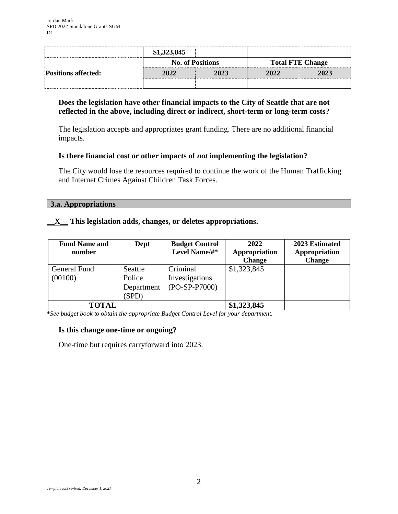|                            | \$1,323,845             |      |                         |      |
|----------------------------|-------------------------|------|-------------------------|------|
|                            | <b>No. of Positions</b> |      | <b>Total FTE Change</b> |      |
| <b>Positions affected:</b> | 2022                    | 2023 | 2022                    | 2023 |
|                            |                         |      |                         |      |

# **Does the legislation have other financial impacts to the City of Seattle that are not reflected in the above, including direct or indirect, short-term or long-term costs?**

The legislation accepts and appropriates grant funding. There are no additional financial impacts.

## **Is there financial cost or other impacts of** *not* **implementing the legislation?**

The City would lose the resources required to continue the work of the Human Trafficking and Internet Crimes Against Children Task Forces.

## **3.a. Appropriations**

# **\_\_X\_\_ This legislation adds, changes, or deletes appropriations.**

| <b>Fund Name and</b><br>number | Dept                                     | <b>Budget Control</b><br>Level Name/#*        | 2022<br>Appropriation<br><b>Change</b> | 2023 Estimated<br>Appropriation<br><b>Change</b> |
|--------------------------------|------------------------------------------|-----------------------------------------------|----------------------------------------|--------------------------------------------------|
| General Fund<br>(00100)        | Seattle<br>Police<br>Department<br>(SPD) | Criminal<br>Investigations<br>$(PO-SP-P7000)$ | \$1,323,845                            |                                                  |
| <b>TOTAL</b>                   |                                          |                                               | \$1,323,845                            |                                                  |

**\****See budget book to obtain the appropriate Budget Control Level for your department.*

## **Is this change one-time or ongoing?**

One-time but requires carryforward into 2023.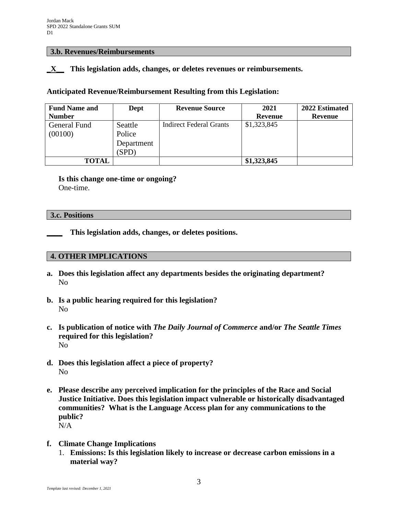#### **3.b. Revenues/Reimbursements**

### **\_X\_\_ This legislation adds, changes, or deletes revenues or reimbursements.**

### **Anticipated Revenue/Reimbursement Resulting from this Legislation:**

| <b>Fund Name and</b> | Dept       | <b>Revenue Source</b>          | 2021           | 2022 Estimated |
|----------------------|------------|--------------------------------|----------------|----------------|
| <b>Number</b>        |            |                                | <b>Revenue</b> | Revenue        |
| General Fund         | Seattle    | <b>Indirect Federal Grants</b> | \$1,323,845    |                |
| (00100)              | Police     |                                |                |                |
|                      | Department |                                |                |                |
|                      | (SPD)      |                                |                |                |
| <b>TOTAL</b>         |            |                                | \$1,323,845    |                |

**Is this change one-time or ongoing?** One-time.

#### **3.c. Positions**

**\_\_\_\_ This legislation adds, changes, or deletes positions.**

### **4. OTHER IMPLICATIONS**

- **a. Does this legislation affect any departments besides the originating department?** No
- **b. Is a public hearing required for this legislation?** No
- **c. Is publication of notice with** *The Daily Journal of Commerce* **and/or** *The Seattle Times* **required for this legislation?** No
- **d. Does this legislation affect a piece of property?** No
- **e. Please describe any perceived implication for the principles of the Race and Social Justice Initiative. Does this legislation impact vulnerable or historically disadvantaged communities? What is the Language Access plan for any communications to the public?** N/A
- **f. Climate Change Implications**
	- 1. **Emissions: Is this legislation likely to increase or decrease carbon emissions in a material way?**